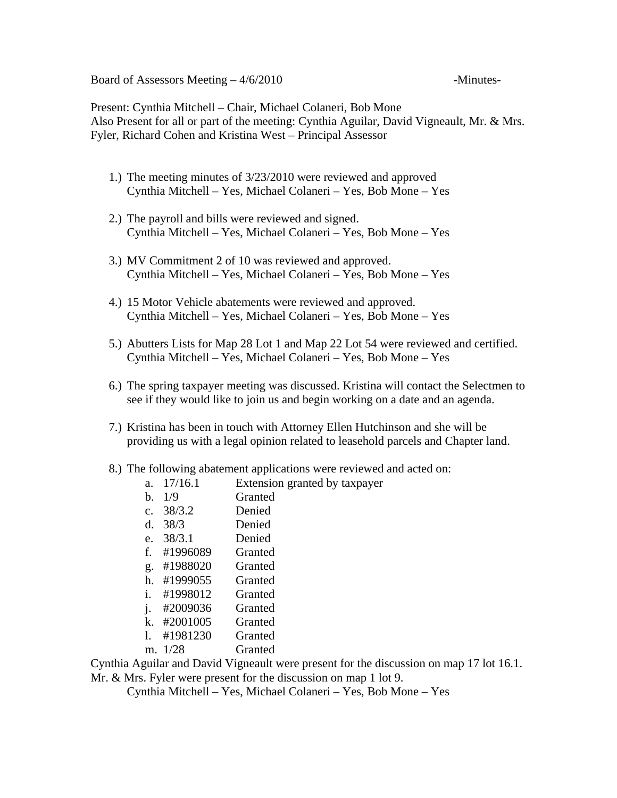Board of Assessors Meeting  $-4/6/2010$  -Minutes-

Present: Cynthia Mitchell – Chair, Michael Colaneri, Bob Mone Also Present for all or part of the meeting: Cynthia Aguilar, David Vigneault, Mr. & Mrs. Fyler, Richard Cohen and Kristina West – Principal Assessor

- 1.) The meeting minutes of 3/23/2010 were reviewed and approved Cynthia Mitchell – Yes, Michael Colaneri – Yes, Bob Mone – Yes
- 2.) The payroll and bills were reviewed and signed. Cynthia Mitchell – Yes, Michael Colaneri – Yes, Bob Mone – Yes
- 3.) MV Commitment 2 of 10 was reviewed and approved. Cynthia Mitchell – Yes, Michael Colaneri – Yes, Bob Mone – Yes
- 4.) 15 Motor Vehicle abatements were reviewed and approved. Cynthia Mitchell – Yes, Michael Colaneri – Yes, Bob Mone – Yes
- 5.) Abutters Lists for Map 28 Lot 1 and Map 22 Lot 54 were reviewed and certified. Cynthia Mitchell – Yes, Michael Colaneri – Yes, Bob Mone – Yes
- 6.) The spring taxpayer meeting was discussed. Kristina will contact the Selectmen to see if they would like to join us and begin working on a date and an agenda.
- 7.) Kristina has been in touch with Attorney Ellen Hutchinson and she will be providing us with a legal opinion related to leasehold parcels and Chapter land.
- 8.) The following abatement applications were reviewed and acted on:
	- a. 17/16.1 Extension granted by taxpayer
	- b. 1/9 Granted
	- c. 38/3.2 Denied
	- d. 38/3 Denied
	- e. 38/3.1 Denied
	- f. #1996089 Granted
	- g. #1988020 Granted
	- h. #1999055 Granted
	- i. #1998012 Granted
	- j. #2009036 Granted
	- k. #2001005 Granted
	- l. #1981230 Granted
	- m. 1/28 Granted

Cynthia Aguilar and David Vigneault were present for the discussion on map 17 lot 16.1.

Mr. & Mrs. Fyler were present for the discussion on map 1 lot 9.

Cynthia Mitchell – Yes, Michael Colaneri – Yes, Bob Mone – Yes